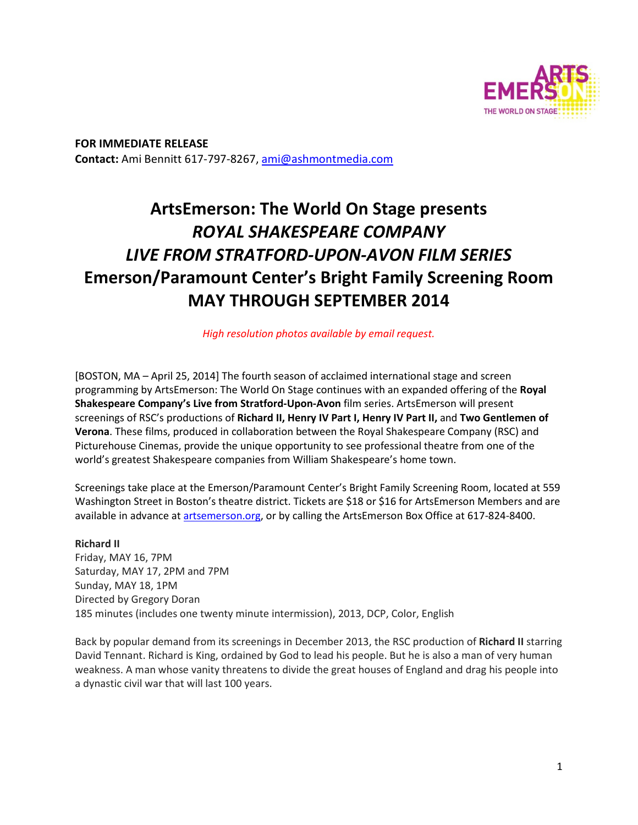

**FOR IMMEDIATE RELEASE Contact:** Ami Bennitt 617‐797‐8267, ami@ashmontmedia.com

# **ArtsEmerson: The World On Stage presents**  *ROYAL SHAKESPEARE COMPANY LIVE FROM STRATFORD-UPON-AVON FILM SERIES* **Emerson/Paramount Center's Bright Family Screening Room MAY THROUGH SEPTEMBER 2014**

*High resolution photos available by email request.* 

[BOSTON, MA – April 25, 2014] The fourth season of acclaimed international stage and screen programming by ArtsEmerson: The World On Stage continues with an expanded offering of the **Royal Shakespeare Company's Live from Stratford-Upon-Avon** film series. ArtsEmerson will present screenings of RSC's productions of **Richard II, Henry IV Part I, Henry IV Part II,** and **Two Gentlemen of Verona**. These films, produced in collaboration between the Royal Shakespeare Company (RSC) and Picturehouse Cinemas, provide the unique opportunity to see professional theatre from one of the world's greatest Shakespeare companies from William Shakespeare's home town.

Screenings take place at the Emerson/Paramount Center's Bright Family Screening Room, located at 559 Washington Street in Boston's theatre district. Tickets are \$18 or \$16 for ArtsEmerson Members and are available in advance at artsemerson.org, or by calling the ArtsEmerson Box Office at 617-824-8400.

## **Richard II**

Friday, MAY 16, 7PM Saturday, MAY 17, 2PM and 7PM Sunday, MAY 18, 1PM Directed by Gregory Doran 185 minutes (includes one twenty minute intermission), 2013, DCP, Color, English

Back by popular demand from its screenings in December 2013, the RSC production of **Richard II** starring David Tennant. Richard is King, ordained by God to lead his people. But he is also a man of very human weakness. A man whose vanity threatens to divide the great houses of England and drag his people into a dynastic civil war that will last 100 years.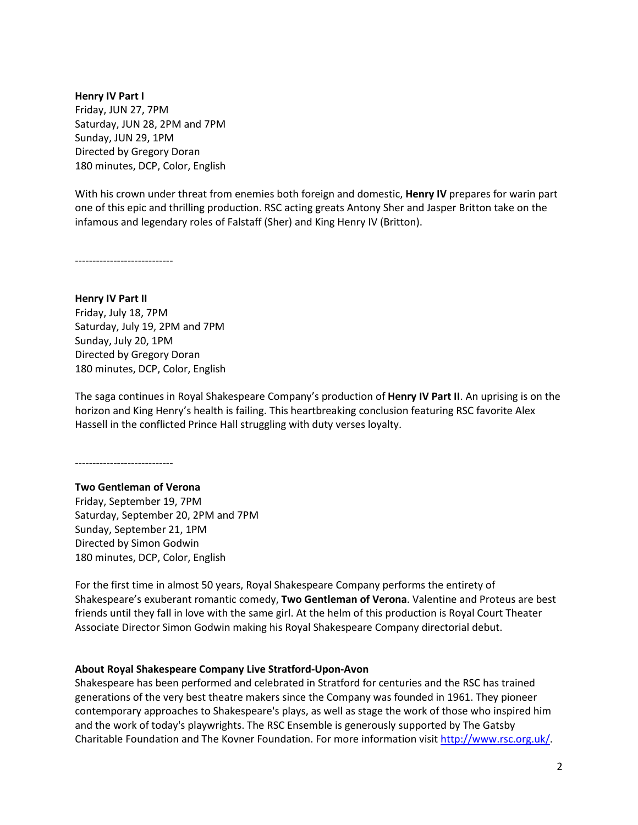**Henry IV Part I**  Friday, JUN 27, 7PM Saturday, JUN 28, 2PM and 7PM Sunday, JUN 29, 1PM Directed by Gregory Doran 180 minutes, DCP, Color, English

With his crown under threat from enemies both foreign and domestic, **Henry IV** prepares for warin part one of this epic and thrilling production. RSC acting greats Antony Sher and Jasper Britton take on the infamous and legendary roles of Falstaff (Sher) and King Henry IV (Britton).

<mark>-------------------------</mark>

**Henry IV Part II**  Friday, July 18, 7PM Saturday, July 19, 2PM and 7PM Sunday, July 20, 1PM Directed by Gregory Doran 180 minutes, DCP, Color, English

The saga continues in Royal Shakespeare Company's production of **Henry IV Part II**. An uprising is on the horizon and King Henry's health is failing. This heartbreaking conclusion featuring RSC favorite Alex Hassell in the conflicted Prince Hall struggling with duty verses loyalty.

‐‐‐‐‐‐‐‐‐‐‐‐‐‐‐‐‐‐‐‐‐‐‐‐‐‐‐‐

**Two Gentleman of Verona**  Friday, September 19, 7PM Saturday, September 20, 2PM and 7PM Sunday, September 21, 1PM Directed by Simon Godwin 180 minutes, DCP, Color, English

For the first time in almost 50 years, Royal Shakespeare Company performs the entirety of Shakespeare's exuberant romantic comedy, **Two Gentleman of Verona**. Valentine and Proteus are best friends until they fall in love with the same girl. At the helm of this production is Royal Court Theater Associate Director Simon Godwin making his Royal Shakespeare Company directorial debut.

## **About Royal Shakespeare Company Live Stratford-Upon-Avon**

Shakespeare has been performed and celebrated in Stratford for centuries and the RSC has trained generations of the very best theatre makers since the Company was founded in 1961. They pioneer contemporary approaches to Shakespeare's plays, as well as stage the work of those who inspired him and the work of today's playwrights. The RSC Ensemble is generously supported by The Gatsby Charitable Foundation and The Kovner Foundation. For more information visit http://www.rsc.org.uk/.